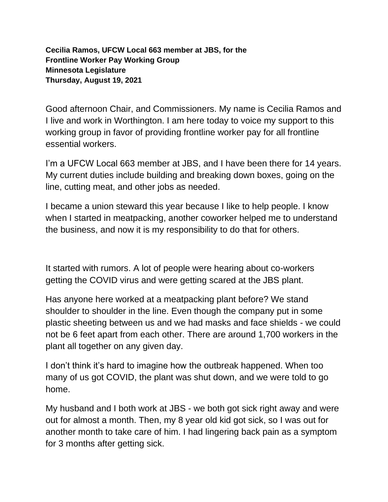**Cecilia Ramos, UFCW Local 663 member at JBS, for the Frontline Worker Pay Working Group Minnesota Legislature Thursday, August 19, 2021**

Good afternoon Chair, and Commissioners. My name is Cecilia Ramos and I live and work in Worthington. I am here today to voice my support to this working group in favor of providing frontline worker pay for all frontline essential workers.

I'm a UFCW Local 663 member at JBS, and I have been there for 14 years. My current duties include building and breaking down boxes, going on the line, cutting meat, and other jobs as needed.

I became a union steward this year because I like to help people. I know when I started in meatpacking, another coworker helped me to understand the business, and now it is my responsibility to do that for others.

It started with rumors. A lot of people were hearing about co-workers getting the COVID virus and were getting scared at the JBS plant.

Has anyone here worked at a meatpacking plant before? We stand shoulder to shoulder in the line. Even though the company put in some plastic sheeting between us and we had masks and face shields - we could not be 6 feet apart from each other. There are around 1,700 workers in the plant all together on any given day.

I don't think it's hard to imagine how the outbreak happened. When too many of us got COVID, the plant was shut down, and we were told to go home.

My husband and I both work at JBS - we both got sick right away and were out for almost a month. Then, my 8 year old kid got sick, so I was out for another month to take care of him. I had lingering back pain as a symptom for 3 months after getting sick.